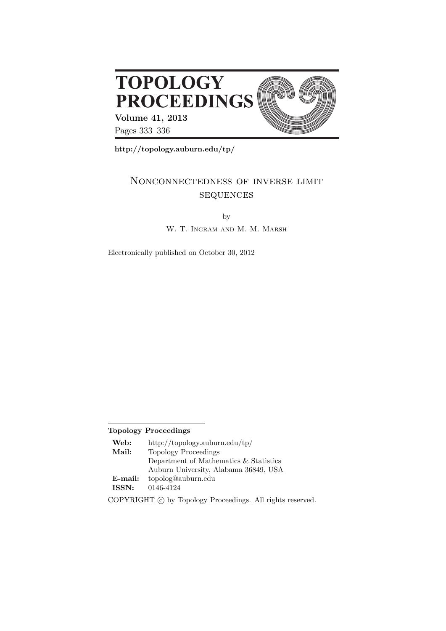

**http://topology.auburn.edu/tp/**

# Nonconnectedness of inverse limit **SEQUENCES**

by

W. T. INGRAM AND M. M. MARSH

Electronically published on October 30, 2012

## **Topology Proceedings**

| Web:       | http://topology.auburn.edu/tp/         |
|------------|----------------------------------------|
| Mail:      | Topology Proceedings                   |
|            | Department of Mathematics & Statistics |
|            | Auburn University, Alabama 36849, USA  |
| $E$ -mail: | topolog@auburn.edu                     |
| ISSN:      | 0146-4124                              |
|            |                                        |

COPYRIGHT  $\odot$  by Topology Proceedings. All rights reserved.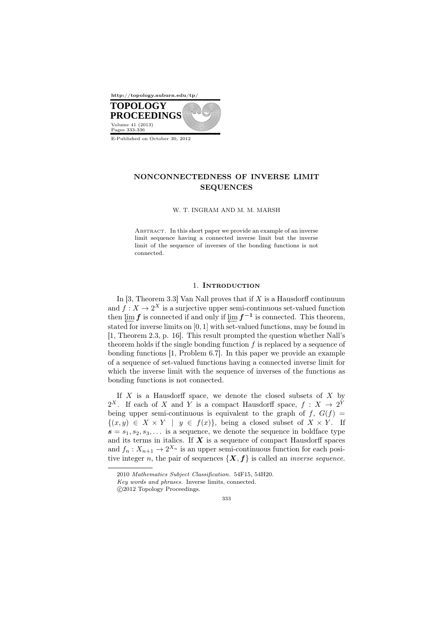

E-Published on October 30, 2012

## NONCONNECTEDNESS OF INVERSE LIMIT SEQUENCES

W. T. INGRAM AND M. M. MARSH

ABSTRACT. In this short paper we provide an example of an inverse limit sequence having a connected inverse limit but the inverse limit of the sequence of inverses of the bonding functions is not connected.

#### 1. INTRODUCTION

In [3, Theorem 3.3] Van Nall proves that if *X* is a Hausdorff continuum and  $f: X \to 2^X$  is a surjective upper semi-continuous set-valued function then  $\lim f$  is connected if and only if  $\lim f^{-1}$  is connected. This theorem,  $\frac{\mu}{\mu}$  **F** is connected in and only if  $\frac{\mu}{\mu}$  **F** is connected. This diction, stated for inverse limits on [0, 1] with set-valued functions, may be found in [1, Theorem 2.3, p. 16]. This result prompted the question whether Nall's theorem holds if the single bonding function *f* is replaced by a sequence of bonding functions [1, Problem 6.7]. In this paper we provide an example of a sequence of set-valued functions having a connected inverse limit for which the inverse limit with the sequence of inverses of the functions as bonding functions is not connected.

If *X* is a Hausdorff space, we denote the closed subsets of *X* by 2<sup>X</sup>. If each of *X* and *Y* is a compact Hausdorff space,  $f: X \to 2^Y$ being upper semi-continuous is equivalent to the graph of  $f$ ,  $G(f)$  ${(x, y) ∈ X × Y | y ∈ f(x)}$ , being a closed subset of  $X × Y$ . If  $s = s_1, s_2, s_3, \ldots$  is a sequence, we denote the sequence in boldface type and its terms in italics. If  $X$  is a sequence of compact Hausdorff spaces and  $f_n: X_{n+1} \to 2^{X_n}$  is an upper semi-continuous function for each positive integer *n*, the pair of sequences  $\{X, f\}$  is called an *inverse sequence*.

 $©2012 Topology Proceedings.$ 



<sup>2010</sup> *Mathematics Subject Classification.* 54F15, 54H20.

*Key words and phrases.* Inverse limits, connected.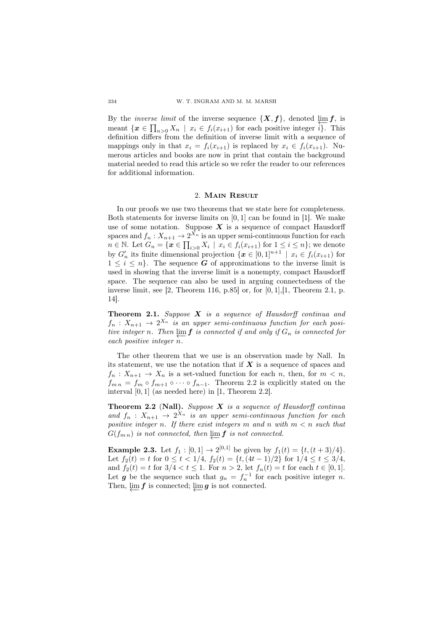By the *inverse limit* of the inverse sequence  $\{X, f\}$ , denoted  $\varprojlim_{\Omega} f$ , is meant  $\{x \in \prod_{n>0} X_n \mid x_i \in f_i(x_{i+1})\}$  for each positive integer  $\hat{i}\}$ . This definition differs from the definition of inverse limit with a sequence of mappings only in that  $x_i = f_i(x_{i+1})$  is replaced by  $x_i \in f_i(x_{i+1})$ . Numerous articles and books are now in print that contain the background material needed to read this article so we refer the reader to our references for additional information.

#### 2. Main Result

In our proofs we use two theorems that we state here for completeness. Both statements for inverse limits on [0*,* 1] can be found in [1]. We make use of some notation. Suppose  $X$  is a sequence of compact Hausdorff spaces and  $f_n: X_{n+1} \to 2^{X_n}$  is an upper semi-continuous function for each  $n \in \mathbb{N}$ . Let  $G_n = \{ \mathbf{x} \in \prod_{i>0} X_i \mid x_i \in f_i(x_{i+1}) \text{ for } 1 \leq i \leq n \}$ ; we denote by  $G'_{n}$  its finite dimensional projection  $\{x \in [0,1]^{n+1} \mid x_i \in f_i(x_{i+1})\}$  for  $1 \leq i \leq n$ . The sequence *G* of approximations to the inverse limit is used in showing that the inverse limit is a nonempty, compact Hausdorff space. The sequence can also be used in arguing connectedness of the inverse limit, see [2, Theorem 116, p.85] or, for [0*,* 1],[1, Theorem 2.1, p. 14].

Theorem 2.1. *Suppose X is a sequence of Hausdorff continua and*  $f_n: X_{n+1} \to 2^{X_n}$  *is an upper semi-continuous function for each positive integer n*. Then  $\varprojlim f$  is connected if and only if  $G_n$  is connected for *each positive integer n.*

The other theorem that we use is an observation made by Nall. In its statement, we use the notation that if *X* is a sequence of spaces and  $f_n: X_{n+1} \to X_n$  is a set-valued function for each *n*, then, for  $m < n$ ,  $f_{mn} = f_m \circ f_{m+1} \circ \cdots \circ f_{n-1}$ . Theorem 2.2 is explicitly stated on the interval [0*,* 1] (as needed here) in [1, Theorem 2.2].

Theorem 2.2 (Nall). *Suppose X is a sequence of Hausdorff continua and*  $f_n$  :  $X_{n+1} \rightarrow 2^{X_n}$  *is an upper semi-continuous function for each positive integer n. If there exist integers m and n with m < n such that*  $G(f_{m,n})$  *is not connected, then*  $\varprojlim f$  *is not connected.* 

**Example 2.3.** Let  $f_1 : [0,1] \to 2^{[0,1]}$  be given by  $f_1(t) = \{t, (t+3)/4\}.$ Let  $f_2(t) = t$  for  $0 \le t < 1/4$ ,  $f_2(t) = \{t, (4t - 1)/2\}$  for  $1/4 \le t \le 3/4$ , and  $f_2(t) = t$  for  $3/4 < t \leq 1$ . For  $n > 2$ , let  $f_n(t) = t$  for each  $t \in [0, 1]$ . Let *g* be the sequence such that  $g_n = f_n^{-1}$  for each positive integer *n*. Then,  $\downarrow \text{im } f$  is connected;  $\downarrow \text{im } g$  is not connected.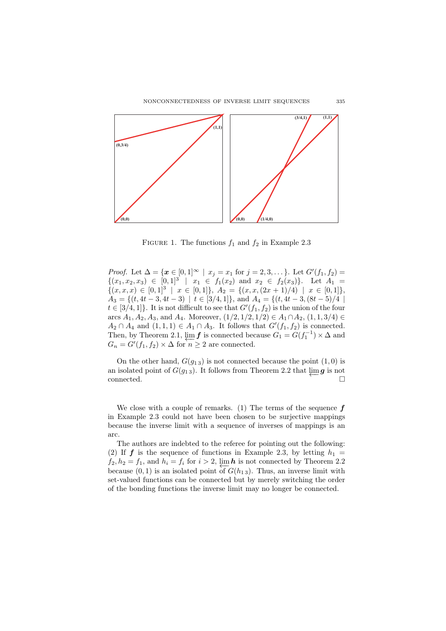

FIGURE 1. The functions  $f_1$  and  $f_2$  in Example 2.3

*Proof.* Let  $\Delta = {\mathbf{x} \in [0,1]^\infty \mid x_j = x_1 \text{ for } j = 2, 3, \ldots}.$  Let  $G'(f_1, f_2) =$  $\{(x_1, x_2, x_3) \in [0,1]^3 \mid x_1 \in f_1(x_2) \text{ and } x_2 \in f_2(x_3)\}.$  Let  $A_1 =$  $\{(x, x, x) \in [0, 1]^3 \mid x \in [0, 1]\}, A_2 = \{(x, x, (2x + 1)/4) \mid x \in [0, 1]\},\$  $A_3 = \{(t, 4t - 3, 4t - 3) \mid t \in [3/4, 1]\}, \text{ and } A_4 = \{(t, 4t - 3, (8t - 5)/4) \mid t \in [3/4, 1]\}$  $t \in [3/4, 1]$ . It is not difficult to see that  $G'(f_1, f_2)$  is the union of the four arcs *A*<sub>1</sub>*, A*<sub>2</sub>*, A*<sub>3</sub>*,* and *A*<sub>4</sub>*.* Moreover,  $(1/2, 1/2, 1/2) \in A_1 ∩ A_2$ ,  $(1, 1, 3/4) \in A_1 ∂ A_2$  $A_2 \cap A_4$  and  $(1,1,1) \in A_1 \cap A_3$ . It follows that  $G'(f_1, f_2)$  is connected. Then, by Theorem 2.1,  $\underline{\lim} f$  is connected because  $G_1 = G(f_1^{-1}) \times \Delta$  and *G<sub>n</sub>* =  $G'(f_1, f_2) \times \Delta$  for  $n \geq 2$  are connected.

On the other hand,  $G(g_{13})$  is not connected because the point  $(1,0)$  is an isolated point of  $G(g_1)_3$ . It follows from Theorem 2.2 that  $\varprojlim g$  is not connected.  $\Box$ 

We close with a couple of remarks. (1) The terms of the sequence *f* in Example 2.3 could not have been chosen to be surjective mappings because the inverse limit with a sequence of inverses of mappings is an arc.

The authors are indebted to the referee for pointing out the following: (2) If  $f$  is the sequence of functions in Example 2.3, by letting  $h_1 =$  $f_2, h_2 = f_1$ , and  $h_i = f_i$  for  $i > 2$ ,  $\lim_{i \to \infty} h$  is not connected by Theorem 2.2 because  $(0, 1)$  is an isolated point of  $G(h_{1,3})$ . Thus, an inverse limit with set-valued functions can be connected but by merely switching the order of the bonding functions the inverse limit may no longer be connected.